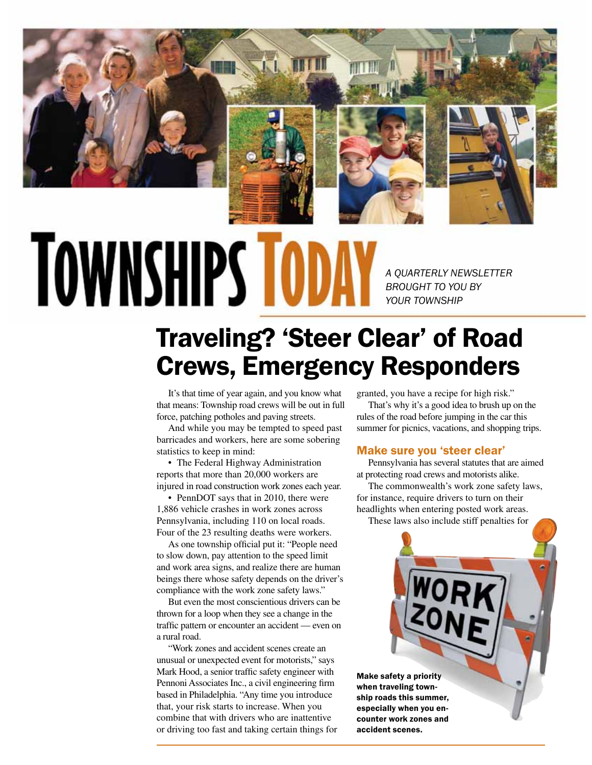

# **TOWNSHIPS T**

*A QUARTERLY NEWSLETTER BROUGHT TO YOU BY YOUR TOWNSHIP*

## Traveling? 'Steer Clear' of Road Crews, Emergency Responders

It's that time of year again, and you know what that means: Township road crews will be out in full force, patching potholes and paving streets.

And while you may be tempted to speed past barricades and workers, here are some sobering statistics to keep in mind:

• The Federal Highway Administration reports that more than 20,000 workers are injured in road construction work zones each year.

• PennDOT says that in 2010, there were 1,886 vehicle crashes in work zones across Pennsylvania, including 110 on local roads. Four of the 23 resulting deaths were workers.

As one township official put it: "People need to slow down, pay attention to the speed limit and work area signs, and realize there are human beings there whose safety depends on the driver's compliance with the work zone safety laws."

But even the most conscientious drivers can be thrown for a loop when they see a change in the traffic pattern or encounter an accident — even on a rural road.

"Work zones and accident scenes create an unusual or unexpected event for motorists," says Mark Hood, a senior traffic safety engineer with Pennoni Associates Inc., a civil engineering firm based in Philadelphia. "Any time you introduce that, your risk starts to increase. When you combine that with drivers who are inattentive or driving too fast and taking certain things for granted, you have a recipe for high risk."

That's why it's a good idea to brush up on the rules of the road before jumping in the car this summer for picnics, vacations, and shopping trips.

#### Make sure you 'steer clear'

Pennsylvania has several statutes that are aimed at protecting road crews and motorists alike.

The commonwealth's work zone safety laws, for instance, require drivers to turn on their headlights when entering posted work areas. These laws also include stiff penalties for



when traveling township roads this summer, especially when you encounter work zones and accident scenes.